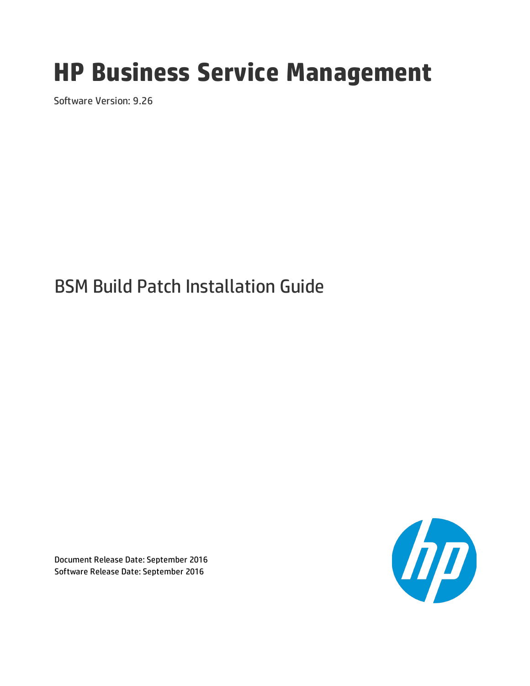# **HP Business Service Management**

Software Version: 9.26

# BSM Build Patch Installation Guide

Document Release Date: September 2016 Software Release Date: September 2016

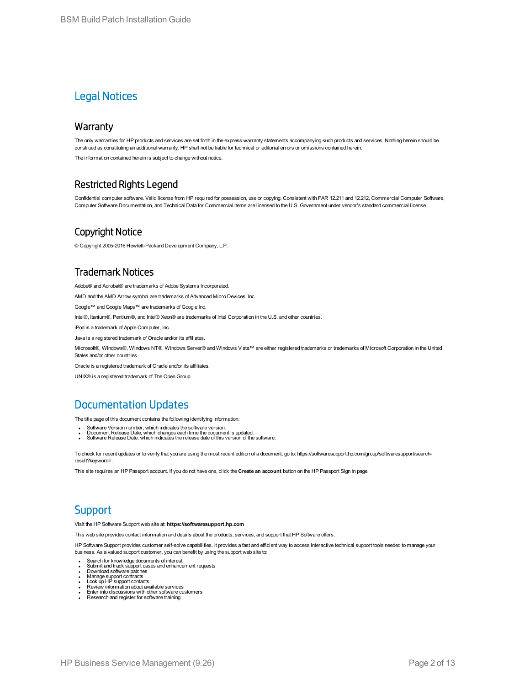### Legal Notices

#### **Warranty**

The only warranties for HP products and services are set forth in the express warranty statements accompanying such products and services. Nothing herein should be construed as constituting an additional warranty. HP shall not be liable for technical or editorial errors or omissions contained herein.

The information contained herein is subject to change without notice.

### Restricted Rights Legend

Confidential computer software. Valid license from HP required for possession, use or copying. Consistent with FAR 12.211 and 12.212, Commercial Computer Software, Computer Software Documentation, and Technical Data for Commercial Items are licensed to the U.S. Government under vendor's standard commercial license.

### Copyright Notice

© Copyright 2005-2016 Hewlett-Packard Development Company, L.P.

### Trademark Notices

Adobe® and Acrobat® are trademarks of Adobe Systems Incorporated.

AMD and the AMD Arrow symbol are trademarks of Advanced Micro Devices, Inc.

Google™ and Google Maps™ are trademarks of Google Inc.

Intel®, Itanium®, Pentium®, and Intel® Xeon® are trademarks of Intel Corporation in the U.S. and other countries.

iPod is a trademark of Apple Computer, Inc.

Java is a registered trademark of Oracle and/or its affiliates.

Microsoft®, Windows®, Windows NT®, Windows Server® and Windows Vista™ are either registered trademarks or trademarks of Microsoft Corporation in the United States and/or other countries.

Oracle is a registered trademark of Oracle and/or its affiliates.

UNIX® is a registered trademark of The Open Group.

### Documentation Updates

The title page of this document contains the following identifying information:

- 
- Software Version number, which indicates the software version.<br>• Document Release Date, which changes each time the document is updated.<br>• Software Release Date, which indicates the release date of this version of the so
- 

To check for recent updates or to verify that you are using the most recent edition of a document, go to: https://softwaresupport.hp.com/group/softwaresupport/searchresult?keyword=.

This site requires an HP Passport account. If you do not have one, click the **Create an account** button on the HP Passport Sign in page.

### **Support**

Visit the HP Software Support web site at: **https://softwaresupport.hp.com**

This web site provides contact information and details about the products, services, and support that HP Software offers.

HP Software Support provides customer self-solve capabilities. It provides a fast and efficient way to access interactive technical support tools needed to manage your business. As a valued support customer, you can benefit by using the support web site to:

- Search for knowledge documents of interest
- Submit and track support cases and enhancement requests<br>- Download software patches<br>- Manage support contracts<br>- Look up HP support contacts<br>- Review information about available services<br>- Enter into discussions with oth
- 
- 
- 
- 
-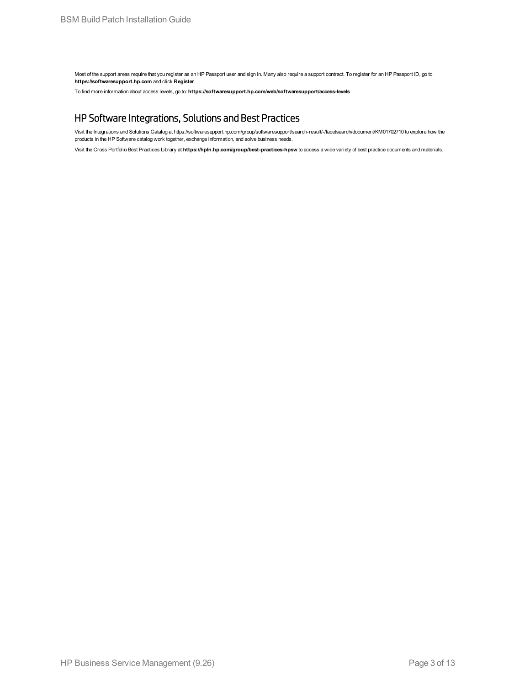Most of the support areas require that you register as an HP Passport user and sign in. Many also require a support contract. To register for an HP Passport ID, go to **https://softwaresupport.hp.com** and click **Register**.

To find more information about access levels, go to: **https://softwaresupport.hp.com/web/softwaresupport/access-levels**

### HP Software Integrations, Solutions and Best Practices

Visit the Integrations and Solutions Catalog at https://softwaresupport.hp.com/group/softwaresupport/search-result/-/facetsearch/document/KM01702710 to explore how the products in the HP Software catalog work together, exchange information, and solve business needs.

Visit the Cross Portfolio Best Practices Library at **https://hpln.hp.com/group/best-practices-hpsw** to access a wide variety of best practice documents and materials.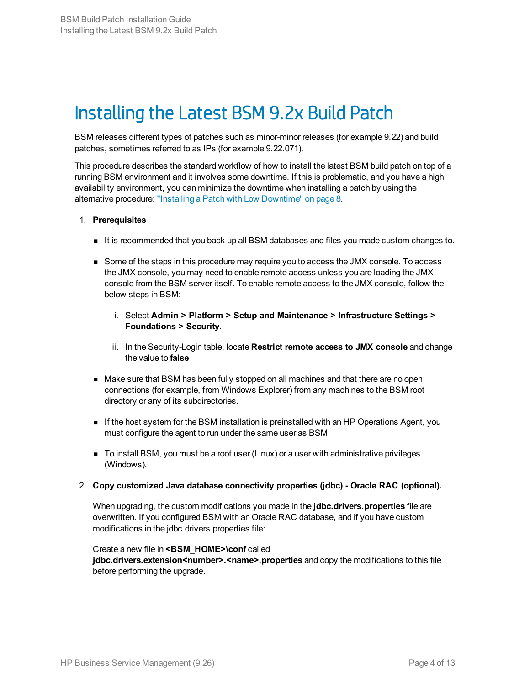# <span id="page-3-0"></span>Installing the Latest BSM 9.2x Build Patch

BSM releases different types of patches such as minor-minor releases (for example 9.22) and build patches, sometimes referred to as IPs (for example 9.22.071).

This procedure describes the standard workflow of how to install the latest BSM build patch on top of a running BSM environment and it involves some downtime. If this is problematic, and you have a high availability environment, you can minimize the downtime when installing a patch by using the alternative procedure: "Installing a Patch with Low [Downtime"](#page-7-0) on page 8.

#### 1. **Prerequisites**

- It is recommended that you back up all BSM databases and files you made custom changes to.
- <sup>n</sup> Some of the steps in this procedure may require you to access the JMX console. To access the JMX console, you may need to enable remote access unless you are loading the JMX console from the BSM server itself. To enable remote access to the JMX console, follow the below steps in BSM:
	- i. Select **Admin > Platform > Setup and Maintenance > Infrastructure Settings > Foundations > Security**.
	- ii. In the Security-Login table, locate **Restrict remote access to JMX console** and change the value to **false**
- n Make sure that BSM has been fully stopped on all machines and that there are no open connections (for example, from Windows Explorer) from any machines to the BSM root directory or any of its subdirectories.
- **n** If the host system for the BSM installation is preinstalled with an HP Operations Agent, you must configure the agent to run under the same user as BSM.
- <sup>n</sup> To install BSM, you must be a root user (Linux) or a user with administrative privileges (Windows).

#### 2. **Copy customized Java database connectivity properties (jdbc) - Oracle RAC (optional).**

When upgrading, the custom modifications you made in the **jdbc.drivers.properties** file are overwritten. If you configured BSM with an Oracle RAC database, and if you have custom modifications in the jdbc.drivers.properties file:

#### Create a new file in **<BSM\_HOME>\conf** called

**jdbc.drivers.extension<number>.<name>.properties** and copy the modifications to this file before performing the upgrade.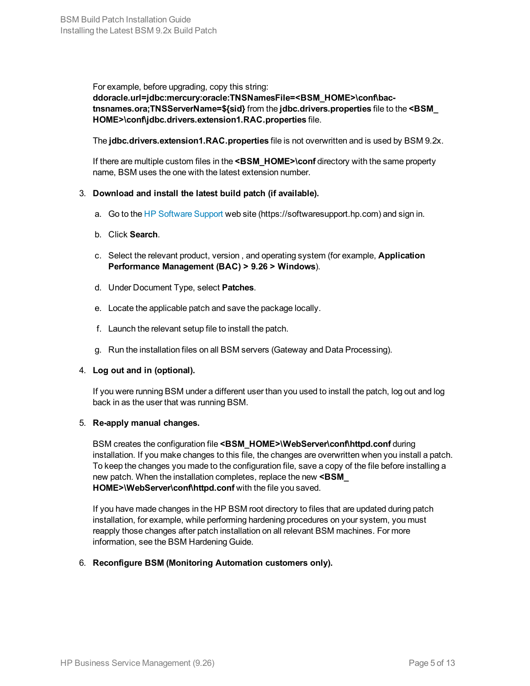For example, before upgrading, copy this string: **ddoracle.url=jdbc:mercury:oracle:TNSNamesFile=<BSM\_HOME>\conf\bactnsnames.ora;TNSServerName=\${sid}** from the **jdbc.drivers.properties** file to the **<BSM\_ HOME>\conf\jdbc.drivers.extension1.RAC.properties** file.

The **jdbc.drivers.extension1.RAC.properties** file is not overwritten and is used by BSM 9.2x.

If there are multiple custom files in the <BSM\_HOME>\conf directory with the same property name, BSM uses the one with the latest extension number.

#### 3. **Download and install the latest build patch (if available).**

- a. Go to the HP [Software](https://softwaresupport.hp.com/) Support web site (https://softwaresupport.hp.com) and sign in.
- b. Click **Search**.
- c. Select the relevant product, version , and operating system (for example, **Application Performance Management (BAC) > 9.26 > Windows**).
- d. Under Document Type, select **Patches**.
- e. Locate the applicable patch and save the package locally.
- f. Launch the relevant setup file to install the patch.
- g. Run the installation files on all BSM servers (Gateway and Data Processing).

#### 4. **Log out and in (optional).**

If you were running BSM under a different user than you used to install the patch, log out and log back in as the user that was running BSM.

#### 5. **Re-apply manual changes.**

BSM creates the configuration file <BSM\_HOME>\WebServer\conf\httpd.conf during installation. If you make changes to this file, the changes are overwritten when you install a patch. To keep the changes you made to the configuration file, save a copy of the file before installing a new patch. When the installation completes, replace the new **<BSM\_ HOME>\WebServer\conf\httpd.conf** with the file you saved.

If you have made changes in the HP BSM root directory to files that are updated during patch installation, for example, while performing hardening procedures on your system, you must reapply those changes after patch installation on all relevant BSM machines. For more information, see the BSM Hardening Guide.

#### 6. **Reconfigure BSM (Monitoring Automation customers only).**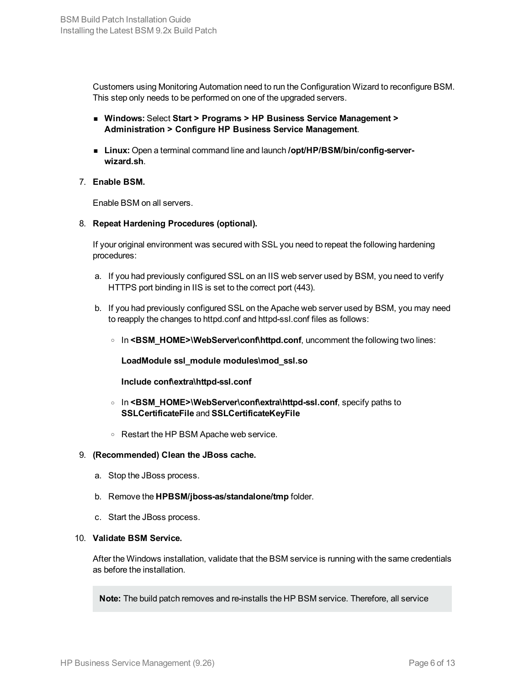Customers using Monitoring Automation need to run the Configuration Wizard to reconfigure BSM. This step only needs to be performed on one of the upgraded servers.

- <sup>n</sup> **Windows:** Select **Start > Programs > HP Business Service Management > Administration > Configure HP Business Service Management**.
- **Example 1** Linux: Open a terminal command line and launch *lopt*/HP/BSM/bin/config-server**wizard.sh**.

#### <span id="page-5-0"></span>7. **Enable BSM.**

Enable BSM on all servers.

8. **Repeat Hardening Procedures (optional).**

If your original environment was secured with SSL you need to repeat the following hardening procedures:

- a. If you had previously configured SSL on an IIS web server used by BSM, you need to verify HTTPS port binding in IIS is set to the correct port (443).
- b. If you had previously configured SSL on the Apache web server used by BSM, you may need to reapply the changes to httpd.conf and httpd-ssl.conf files as follows:
	- o In <BSM\_HOME>\WebServer\conf\httpd.conf, uncomment the following two lines:

**LoadModule ssl\_module modules\mod\_ssl.so**

**Include conf\extra\httpd-ssl.conf**

- <sup>o</sup> In **<BSM\_HOME>\WebServer\conf\extra\httpd-ssl.conf**, specify paths to **SSLCertificateFile** and **SSLCertificateKeyFile**
- <sup>o</sup> Restart the HP BSM Apache web service.

#### 9. **(Recommended) Clean the JBoss cache.**

- a. Stop the JBoss process.
- b. Remove the **HPBSM/jboss-as/standalone/tmp** folder.
- c. Start the JBoss process.

#### 10. **Validate BSM Service.**

After the Windows installation, validate that the BSM service is running with the same credentials as before the installation.

**Note:** The build patch removes and re-installs the HP BSM service. Therefore, all service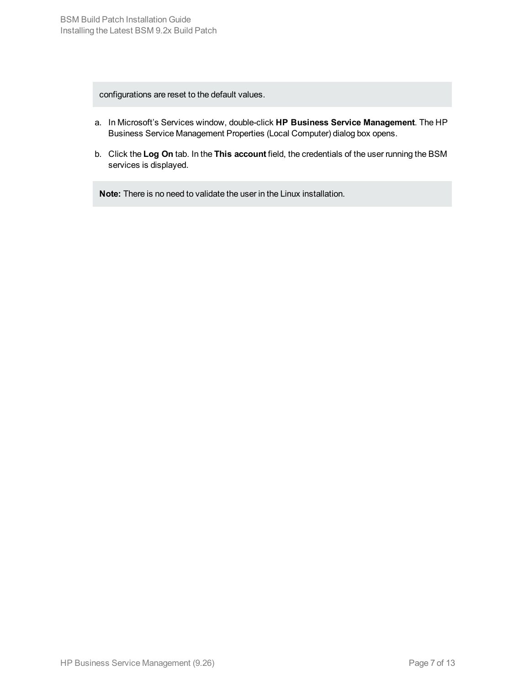configurations are reset to the default values.

- a. In Microsoft's Services window, double-click **HP Business Service Management**. The HP Business Service Management Properties (Local Computer) dialog box opens.
- b. Click the **Log On** tab. In the **This account** field, the credentials of the user running the BSM services is displayed.

**Note:** There is no need to validate the user in the Linux installation.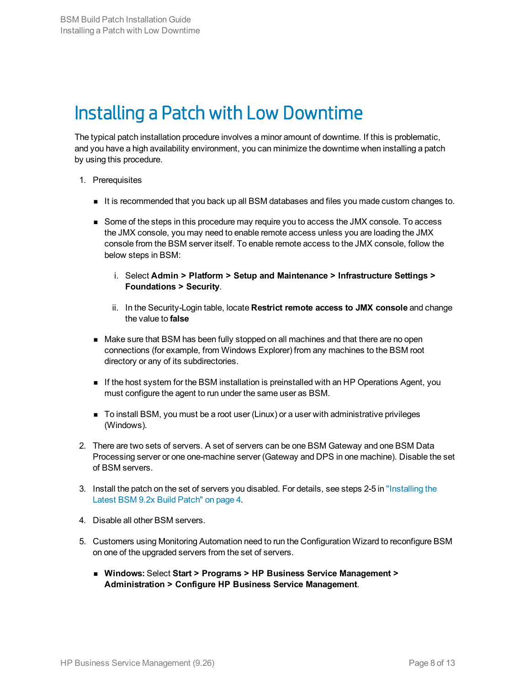# <span id="page-7-0"></span>Installing a Patch with Low Downtime

The typical patch installation procedure involves a minor amount of downtime. If this is problematic, and you have a high availability environment, you can minimize the downtime when installing a patch by using this procedure.

- 1. Prerequisites
	- It is recommended that you back up all BSM databases and files you made custom changes to.
	- **n** Some of the steps in this procedure may require you to access the JMX console. To access the JMX console, you may need to enable remote access unless you are loading the JMX console from the BSM server itself. To enable remote access to the JMX console, follow the below steps in BSM:
		- i. Select **Admin > Platform > Setup and Maintenance > Infrastructure Settings > Foundations > Security**.
		- ii. In the Security-Login table, locate **Restrict remote access to JMX console** and change the value to **false**
	- n Make sure that BSM has been fully stopped on all machines and that there are no open connections (for example, from Windows Explorer) from any machines to the BSM root directory or any of its subdirectories.
	- **n** If the host system for the BSM installation is preinstalled with an HP Operations Agent, you must configure the agent to run under the same user as BSM.
	- $\blacksquare$  To install BSM, you must be a root user (Linux) or a user with administrative privileges (Windows).
- 2. There are two sets of servers. A set of servers can be one BSM Gateway and one BSM Data Processing server or one one-machine server (Gateway and DPS in one machine). Disable the set of BSM servers.
- 3. Install the patch on the set of servers you disabled. For details, see steps 2-5 in ["Installing](#page-3-0) the Latest [BSM 9.2x](#page-3-0) Build Patch" on page 4.
- 4. Disable all other BSM servers.
- 5. Customers using Monitoring Automation need to run the Configuration Wizard to reconfigure BSM on one of the upgraded servers from the set of servers.
	- <sup>n</sup> **Windows:** Select **Start > Programs > HP Business Service Management > Administration > Configure HP Business Service Management**.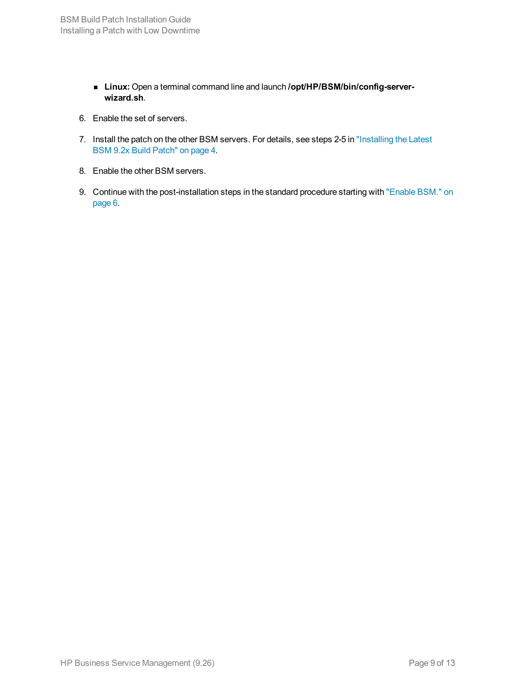- **E** Linux: Open a terminal command line and launch /opt/HP/BSM/bin/config-server**wizard.sh**.
- 6. Enable the set of servers.
- 7. Install the patch on the other BSM servers. For details, see steps 2-5 in ["Installing](#page-3-0) the Latest [BSM 9.2x](#page-3-0) Build Patch" on page 4.
- 8. Enable the other BSM servers.
- 9. Continue with the post-installation steps in the standard procedure starting with ["Enable](#page-5-0) BSM." on [page 6.](#page-5-0)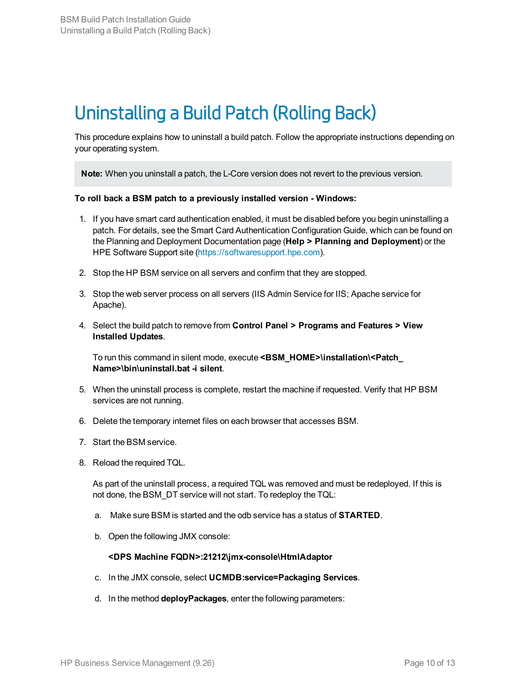# Uninstalling a Build Patch (Rolling Back)

This procedure explains how to uninstall a build patch. Follow the appropriate instructions depending on your operating system.

**Note:** When you uninstall a patch, the L-Core version does not revert to the previous version.

#### **To roll back a BSM patch to a previously installed version - Windows:**

- 1. If you have smart card authentication enabled, it must be disabled before you begin uninstalling a patch. For details, see the Smart Card Authentication Configuration Guide, which can be found on the Planning and Deployment Documentation page (**Help > Planning and Deployment**) or the HPE Software Support site [\(https://softwaresupport.hpe.com\)](http://support.openview.hpe.com/selfsolve/manuals).
- 2. Stop the HP BSM service on all servers and confirm that they are stopped.
- 3. Stop the web server process on all servers (IIS Admin Service for IIS; Apache service for Apache).
- 4. Select the build patch to remove from **Control Panel > Programs and Features > View Installed Updates**.

To run this command in silent mode, execute **<BSM\_HOME>\installation\<Patch\_ Name>\bin\uninstall.bat -i silent**.

- 5. When the uninstall process is complete, restart the machine if requested. Verify that HP BSM services are not running.
- 6. Delete the temporary internet files on each browser that accesses BSM.
- 7. Start the BSM service.
- 8. Reload the required TQL.

As part of the uninstall process, a required TQL was removed and must be redeployed. If this is not done, the BSM\_DT service will not start. To redeploy the TQL:

- a. Make sure BSM is started and the odb service has a status of **STARTED**.
- b. Open the following JMX console:

#### **<DPS Machine FQDN>:21212\jmx-console\HtmlAdaptor**

- c. In the JMX console, select **UCMDB:service=Packaging Services**.
- d. In the method **deployPackages**, enter the following parameters: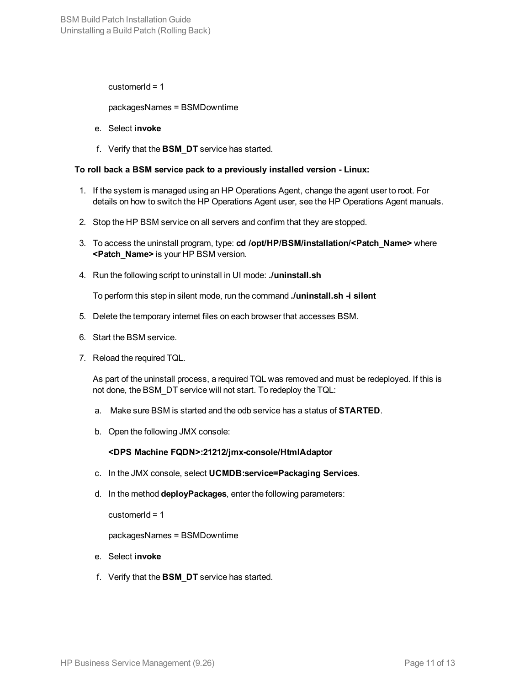customer $Id = 1$ 

packagesNames = BSMDowntime

- e. Select **invoke**
- f. Verify that the **BSM\_DT** service has started.

#### **To roll back a BSM service pack to a previously installed version - Linux:**

- 1. If the system is managed using an HP Operations Agent, change the agent user to root. For details on how to switch the HP Operations Agent user, see the HP Operations Agent manuals.
- 2. Stop the HP BSM service on all servers and confirm that they are stopped.
- 3. To access the uninstall program, type: **cd /opt/HP/BSM/installation/<Patch\_Name>** where **<Patch\_Name>** is your HP BSM version.
- 4. Run the following script to uninstall in UI mode: **./uninstall.sh**

To perform this step in silent mode, run the command **./uninstall.sh -i silent**

- 5. Delete the temporary internet files on each browser that accesses BSM.
- 6. Start the BSM service.
- 7. Reload the required TQL.

As part of the uninstall process, a required TQL was removed and must be redeployed. If this is not done, the BSM\_DT service will not start. To redeploy the TQL:

- a. Make sure BSM is started and the odb service has a status of **STARTED**.
- b. Open the following JMX console:

#### **<DPS Machine FQDN>:21212/jmx-console/HtmlAdaptor**

- c. In the JMX console, select **UCMDB:service=Packaging Services**.
- d. In the method **deployPackages**, enter the following parameters:

customer $Id = 1$ 

packagesNames = BSMDowntime

- e. Select **invoke**
- f. Verify that the **BSM\_DT** service has started.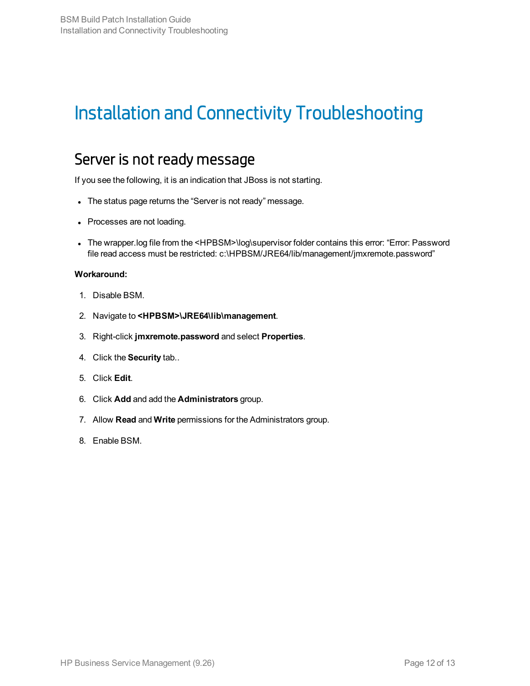# Installation and Connectivity Troubleshooting

## Server is not ready message

If you see the following, it is an indication that JBoss is not starting.

- The status page returns the "Server is not ready" message.
- Processes are not loading.
- The wrapper.log file from the <HPBSM>\log\supervisor folder contains this error: "Error: Password file read access must be restricted: c:\HPBSM/JRE64/lib/management/jmxremote.password"

#### **Workaround:**

- 1. Disable BSM.
- 2. Navigate to **<HPBSM>\JRE64\lib\management**.
- 3. Right-click **jmxremote.password** and select **Properties**.
- 4. Click the **Security** tab..
- 5. Click **Edit**.
- 6. Click **Add** and add the **Administrators** group.
- 7. Allow **Read** and **Write** permissions for the Administrators group.
- 8. Enable BSM.